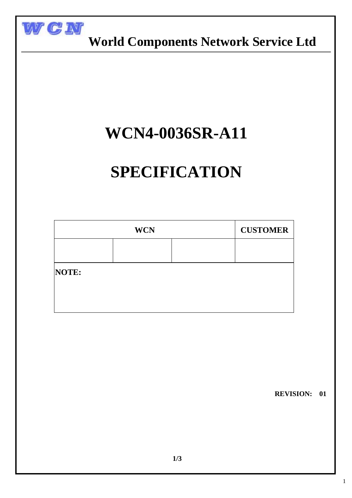

 **World Components Network Service Ltd**

## **WCN4-0036SR-A11**

# **SPECIFICATION**

| <b>WCN</b> |  |  | <b>CUSTOMER</b> |
|------------|--|--|-----------------|
|            |  |  |                 |
| NOTE:      |  |  |                 |
|            |  |  |                 |
|            |  |  |                 |

 **REVISION: 01**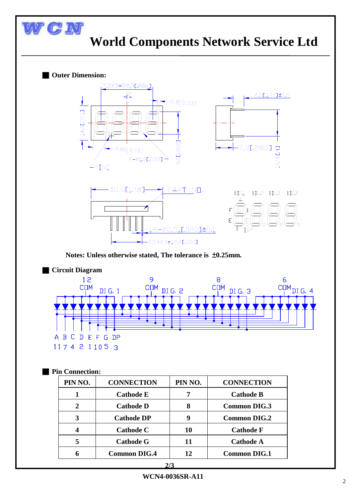### WCN  **World Components Network Service Ltd**

#### ■ **Outer Dimension:**

 $\overline{a}$ 



**Notes: Unless otherwise stated, The tolerance is** ±**0.25mm.**



#### ■ **Pin Connection:**

| PIN NO.                 | <b>CONNECTION</b>   | PIN NO. | <b>CONNECTION</b>   |  |  |
|-------------------------|---------------------|---------|---------------------|--|--|
| 1                       | <b>Cathode E</b>    | 7       | <b>Cathode B</b>    |  |  |
| $\overline{2}$          | <b>Cathode D</b>    | 8       | <b>Common DIG.3</b> |  |  |
| 3                       | <b>Cathode DP</b>   | 9       | <b>Common DIG.2</b> |  |  |
| $\overline{\mathbf{4}}$ | <b>Cathode C</b>    | 10      | <b>Cathode F</b>    |  |  |
| 5                       | <b>Cathode G</b>    | 11      | <b>Cathode A</b>    |  |  |
| 6                       | <b>Common DIG.4</b> | 12      | <b>Common DIG.1</b> |  |  |
| 2/3                     |                     |         |                     |  |  |